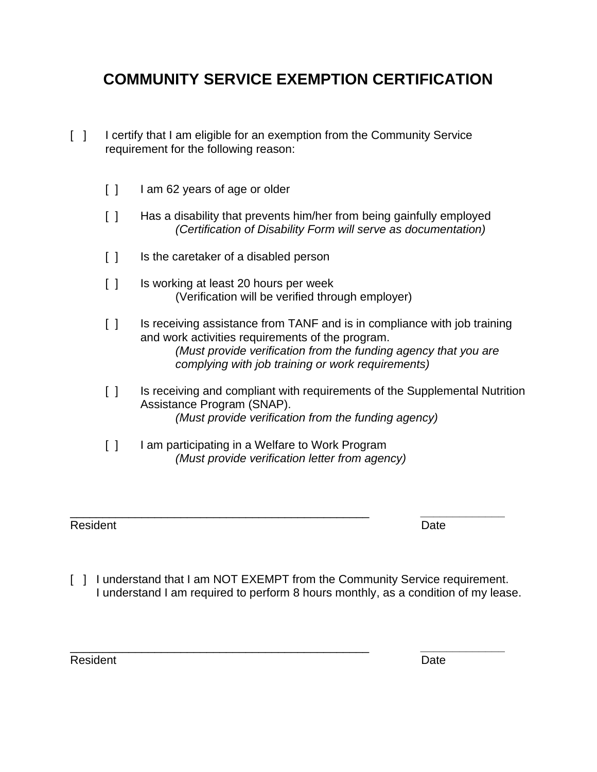## **COMMUNITY SERVICE EXEMPTION CERTIFICATION**

- [ ] I certify that I am eligible for an exemption from the Community Service requirement for the following reason:
	- [ ] I am 62 years of age or older
	- [ ] Has a disability that prevents him/her from being gainfully employed *(Certification of Disability Form will serve as documentation)*
	- [ ] Is the caretaker of a disabled person
	- [ ] Is working at least 20 hours per week (Verification will be verified through employer)
	- [ ] Is receiving assistance from TANF and is in compliance with job training and work activities requirements of the program. *(Must provide verification from the funding agency that you are complying with job training or work requirements)*
	- [ ] Is receiving and compliant with requirements of the Supplemental Nutrition Assistance Program (SNAP). *(Must provide verification from the funding agency)*
	- [ ] I am participating in a Welfare to Work Program *(Must provide verification letter from agency)*

Resident **Date** 

\_\_\_\_\_\_\_\_\_\_\_\_\_\_\_\_\_\_\_\_\_\_\_\_\_\_\_\_\_\_\_\_\_\_\_\_\_\_\_\_\_\_\_\_\_\_ *\_\_\_\_\_\_\_\_\_\_\_\_\_* 

[ ] I understand that I am NOT EXEMPT from the Community Service requirement. I understand I am required to perform 8 hours monthly, as a condition of my lease.

\_\_\_\_\_\_\_\_\_\_\_\_\_\_\_\_\_\_\_\_\_\_\_\_\_\_\_\_\_\_\_\_\_\_\_\_\_\_\_\_\_\_\_\_\_\_ *\_\_\_\_\_\_\_\_\_\_\_\_\_* 

Resident **Date**